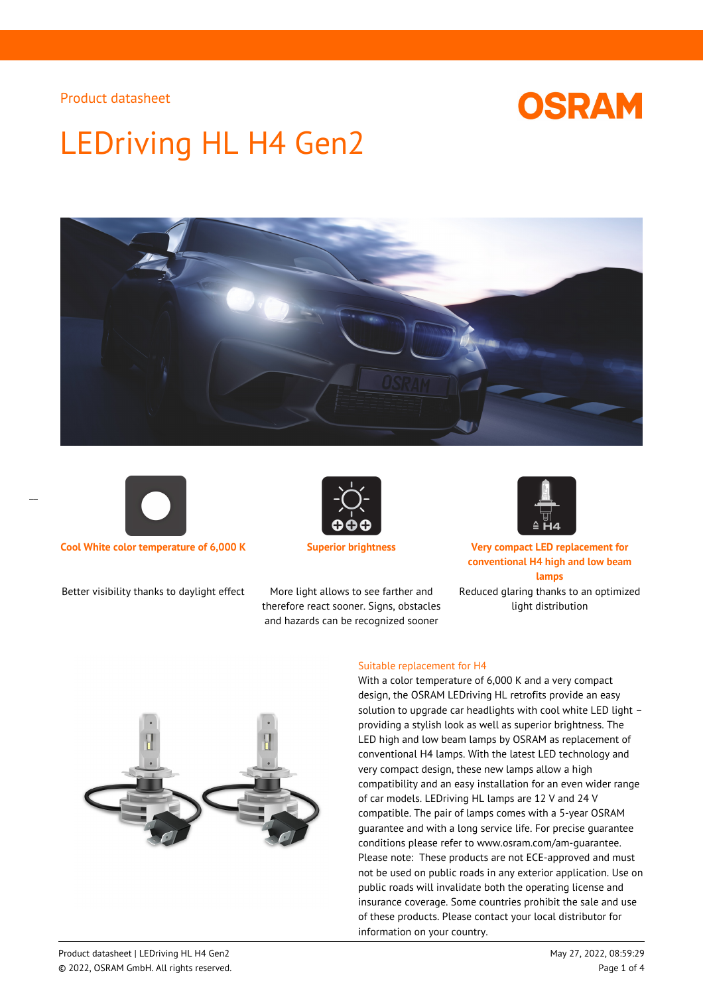# **OSRAM**

# LEDriving HL H4 Gen2





Better visibility thanks to daylight effect More light allows to see farther and



therefore react sooner. Signs, obstacles and hazards can be recognized sooner



**Cool White color temperature of 6,000 K Superior brightness Very compact LED replacement for conventional H4 high and low beam lamps**

Reduced glaring thanks to an optimized light distribution



#### Suitable replacement for H4

With a color temperature of 6,000 K and a very compact design, the OSRAM LEDriving HL retrofits provide an easy solution to upgrade car headlights with cool white LED light – providing a stylish look as well as superior brightness. The LED high and low beam lamps by OSRAM as replacement of conventional H4 lamps. With the latest LED technology and very compact design, these new lamps allow a high compatibility and an easy installation for an even wider range of car models. LEDriving HL lamps are 12 V and 24 V compatible. The pair of lamps comes with a 5-year OSRAM guarantee and with a long service life. For precise guarantee conditions please refer to www.osram.com/am-guarantee. Please note: These products are not ECE-approved and must not be used on public roads in any exterior application. Use on public roads will invalidate both the operating license and insurance coverage. Some countries prohibit the sale and use of these products. Please contact your local distributor for information on your country.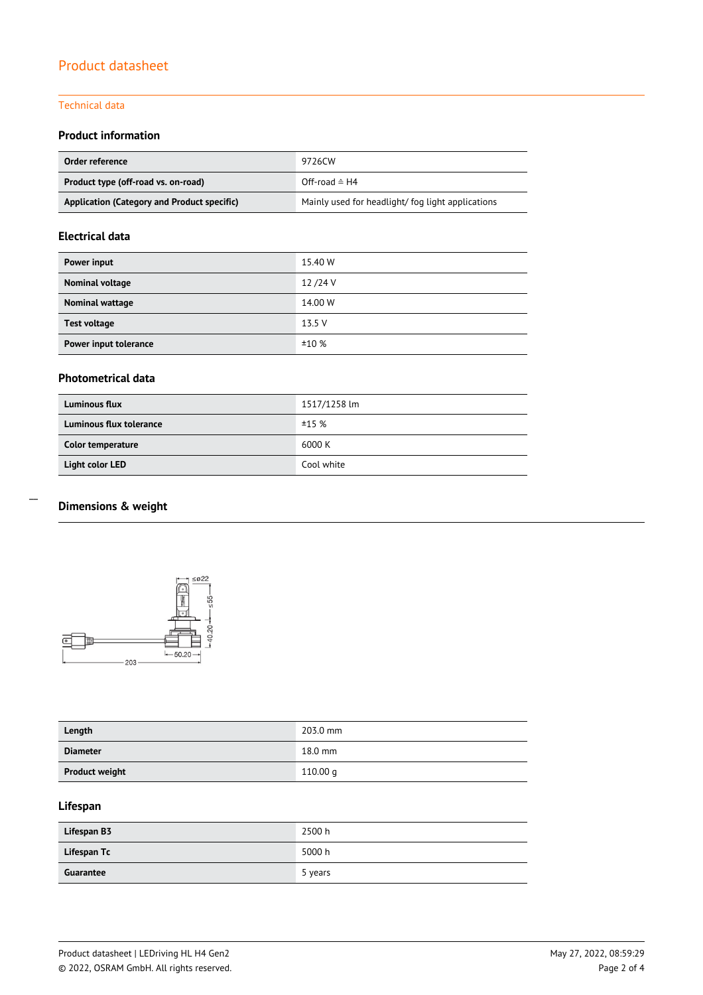## Technical data

## **Product information**

| Order reference                             | 9726CW                                           |  |  |
|---------------------------------------------|--------------------------------------------------|--|--|
| Product type (off-road vs. on-road)         | Off-road $\triangleq$ H4                         |  |  |
| Application (Category and Product specific) | Mainly used for headlight/fog light applications |  |  |

### **Electrical data**

| Power input           | 15.40 W |
|-----------------------|---------|
| Nominal voltage       | 12/24 V |
| Nominal wattage       | 14.00 W |
| Test voltage          | 13.5V   |
| Power input tolerance | ±10%    |

## **Photometrical data**

| <b>Luminous flux</b>    | 1517/1258 lm |  |
|-------------------------|--------------|--|
| Luminous flux tolerance | ±15%         |  |
| Color temperature       | 6000 K       |  |
| Light color LED         | Cool white   |  |

# **Dimensions & weight**

 $\overline{a}$ 



| Length                | 203.0 mm  |
|-----------------------|-----------|
| <b>Diameter</b>       | $18.0$ mm |
| <b>Product weight</b> | 110.00 q  |

# **Lifespan**

| Lifespan B3 | 2500 h  |
|-------------|---------|
| Lifespan Tc | 5000 h  |
| Guarantee   | 5 years |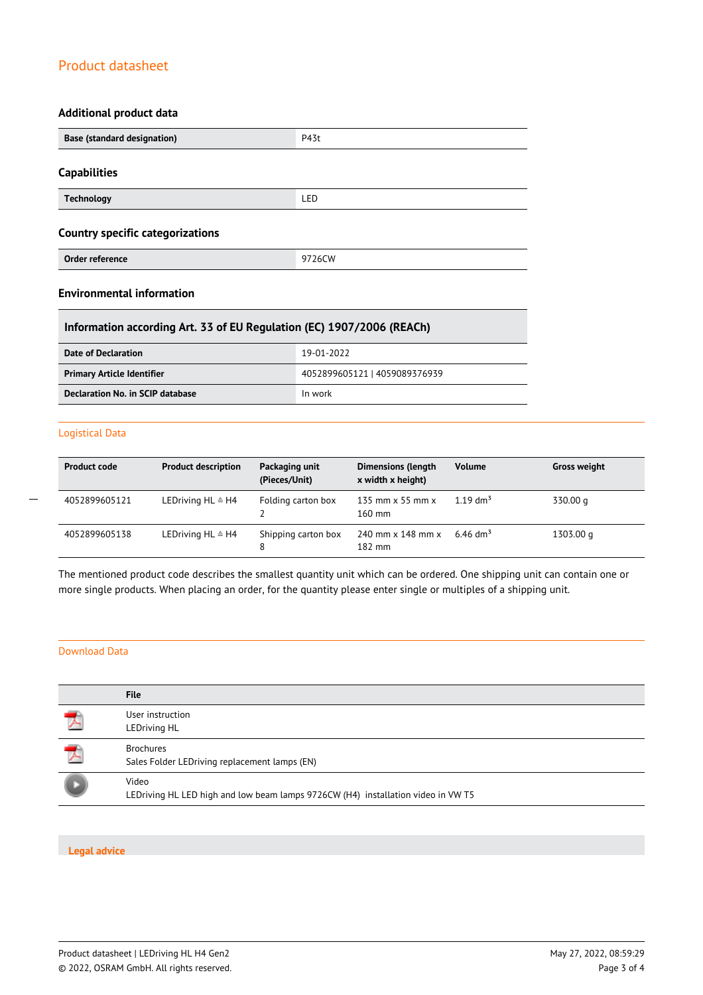## **Additional product data**

| <b>Base (standard designation)</b>      | P43t   |  |
|-----------------------------------------|--------|--|
| <b>Capabilities</b>                     |        |  |
| <b>Technology</b>                       | LED    |  |
| <b>Country specific categorizations</b> |        |  |
| Order reference                         | 9726CW |  |

## **Environmental information**

## **Information according Art. 33 of EU Regulation (EC) 1907/2006 (REACh)**

| Date of Declaration               | 19-01-2022                    |  |
|-----------------------------------|-------------------------------|--|
| <b>Primary Article Identifier</b> | 4052899605121   4059089376939 |  |
| Declaration No. in SCIP database  | In work                       |  |

### Logistical Data

 $\overline{a}$ 

| <b>Product code</b> | <b>Product description</b>   | Packaging unit<br>(Pieces/Unit) | <b>Dimensions (length</b><br>x width x height) | <b>Volume</b>        | <b>Gross weight</b> |
|---------------------|------------------------------|---------------------------------|------------------------------------------------|----------------------|---------------------|
| 4052899605121       | LEDriving $HL \triangleq H4$ | Folding carton box              | 135 mm $\times$ 55 mm $\times$<br>$160$ mm     | 1.19 dm <sup>3</sup> | 330.00 g            |
| 4052899605138       | LEDriving $HL \triangleq H4$ | Shipping carton box<br>8        | 240 mm x 148 mm x<br>$182 \text{ mm}$          | 6.46 dm <sup>3</sup> | 1303.00 g           |

The mentioned product code describes the smallest quantity unit which can be ordered. One shipping unit can contain one or more single products. When placing an order, for the quantity please enter single or multiples of a shipping unit.

### Download Data

|   | <b>File</b>                                                                               |
|---|-------------------------------------------------------------------------------------------|
| 人 | User instruction<br><b>LEDriving HL</b>                                                   |
|   | <b>Brochures</b><br>Sales Folder LEDriving replacement lamps (EN)                         |
|   | Video<br>LEDriving HL LED high and low beam lamps 9726CW (H4) installation video in VW T5 |

#### **Legal advice**